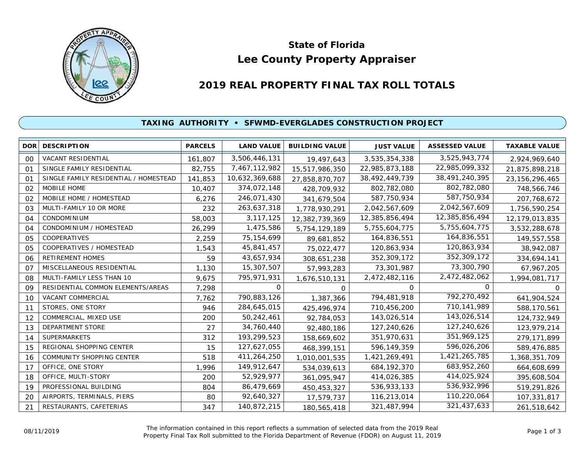

# **Lee County Property Appraiser State of Florida**

# **2019 REAL PROPERTY FINAL TAX ROLL TOTALS**

#### **TAXING AUTHORITY • SFWMD-EVERGLADES CONSTRUCTION PROJECT**

| <b>DOR</b> | <b>DESCRIPTION</b>                    | <b>PARCELS</b> | <b>LAND VALUE</b> | <b>BUILDING VALUE</b> | <b>JUST VALUE</b> | <b>ASSESSED VALUE</b> | <b>TAXABLE VALUE</b> |
|------------|---------------------------------------|----------------|-------------------|-----------------------|-------------------|-----------------------|----------------------|
| 00         | VACANT RESIDENTIAL                    | 161,807        | 3,506,446,131     | 19,497,643            | 3,535,354,338     | 3,525,943,774         | 2,924,969,640        |
| 01         | SINGLE FAMILY RESIDENTIAL             | 82,755         | 7,467,112,982     | 15,517,986,350        | 22,985,873,188    | 22,985,099,332        | 21,875,898,218       |
| 01         | SINGLE FAMILY RESIDENTIAL / HOMESTEAD | 141,853        | 10,632,369,688    | 27,858,870,707        | 38,492,449,739    | 38,491,240,395        | 23, 156, 296, 465    |
| 02         | <b>MOBILE HOME</b>                    | 10,407         | 374,072,148       | 428,709,932           | 802,782,080       | 802,782,080           | 748,566,746          |
| 02         | MOBILE HOME / HOMESTEAD               | 6,276          | 246,071,430       | 341,679,504           | 587,750,934       | 587,750,934           | 207,768,672          |
| 03         | MULTI-FAMILY 10 OR MORE               | 232            | 263,637,318       | 1,778,930,291         | 2,042,567,609     | 2,042,567,609         | 1,756,590,254        |
| 04         | <b>CONDOMINIUM</b>                    | 58,003         | 3,117,125         | 12,382,739,369        | 12,385,856,494    | 12,385,856,494        | 12,179,013,835       |
| 04         | CONDOMINIUM / HOMESTEAD               | 26,299         | 1,475,586         | 5,754,129,189         | 5,755,604,775     | 5,755,604,775         | 3,532,288,678        |
| 05         | COOPERATIVES                          | 2,259          | 75, 154, 699      | 89,681,852            | 164,836,551       | 164,836,551           | 149,557,558          |
| 05         | COOPERATIVES / HOMESTEAD              | 1,543          | 45,841,457        | 75,022,477            | 120,863,934       | 120,863,934           | 38,942,087           |
| 06         | <b>RETIREMENT HOMES</b>               | 59             | 43,657,934        | 308,651,238           | 352,309,172       | 352,309,172           | 334,694,141          |
| 07         | MISCELLANEOUS RESIDENTIAL             | 1,130          | 15,307,507        | 57,993,283            | 73,301,987        | 73,300,790            | 67,967,205           |
| 08         | MULTI-FAMILY LESS THAN 10             | 9,675          | 795,971,931       | 1,676,510,131         | 2,472,482,116     | 2,472,482,062         | 1,994,081,717        |
| 09         | RESIDENTIAL COMMON ELEMENTS/AREAS     | 7,298          | 0                 | $\Omega$              | 0                 | O                     | O.                   |
| 10         | VACANT COMMERCIAL                     | 7,762          | 790,883,126       | 1,387,366             | 794,481,918       | 792,270,492           | 641,904,524          |
| 11         | STORES, ONE STORY                     | 946            | 284,645,015       | 425,496,974           | 710,456,200       | 710,141,989           | 588,170,561          |
| 12         | COMMERCIAL, MIXED USE                 | 200            | 50,242,461        | 92,784,053            | 143,026,514       | 143,026,514           | 124,732,949          |
| 13         | <b>DEPARTMENT STORE</b>               | 27             | 34,760,440        | 92,480,186            | 127,240,626       | 127,240,626           | 123,979,214          |
| 14         | <b>SUPERMARKETS</b>                   | 312            | 193,299,523       | 158,669,602           | 351,970,631       | 351,969,125           | 279,171,899          |
| 15         | REGIONAL SHOPPING CENTER              | 15             | 127,627,055       | 468,399,151           | 596,149,359       | 596,026,206           | 589,476,885          |
| 16         | COMMUNITY SHOPPING CENTER             | 518            | 411,264,250       | 1,010,001,535         | 1,421,269,491     | 1,421,265,785         | 1,368,351,709        |
| 17         | OFFICE, ONE STORY                     | 1,996          | 149,912,647       | 534,039,613           | 684, 192, 370     | 683,952,260           | 664,608,699          |
| 18         | OFFICE, MULTI-STORY                   | 200            | 52,929,977        | 361,095,947           | 414,026,385       | 414,025,924           | 395,608,504          |
| 19         | PROFESSIONAL BUILDING                 | 804            | 86,479,669        | 450,453,327           | 536,933,133       | 536,932,996           | 519,291,826          |
| 20         | AIRPORTS, TERMINALS, PIERS            | 80             | 92,640,327        | 17,579,737            | 116,213,014       | 110,220,064           | 107,331,817          |
| 21         | RESTAURANTS, CAFETERIAS               | 347            | 140,872,215       | 180,565,418           | 321,487,994       | 321,437,633           | 261,518,642          |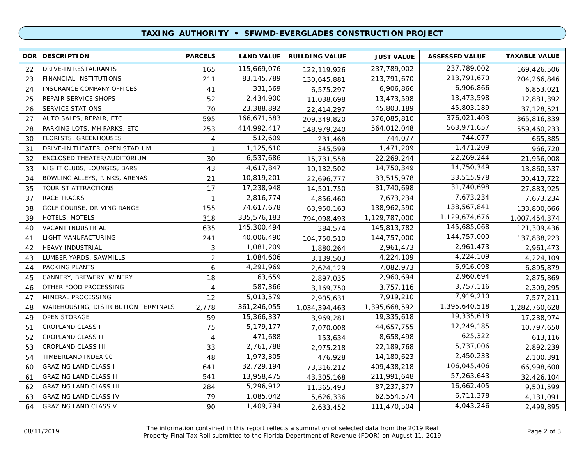## **TAXING AUTHORITY • SFWMD-EVERGLADES CONSTRUCTION PROJECT**

| <b>DOR</b> | <b>DESCRIPTION</b>                  | <b>PARCELS</b> | <b>LAND VALUE</b> | <b>BUILDING VALUE</b> | <b>JUST VALUE</b> | <b>ASSESSED VALUE</b> | <b>TAXABLE VALUE</b> |
|------------|-------------------------------------|----------------|-------------------|-----------------------|-------------------|-----------------------|----------------------|
| 22         | DRIVE-IN RESTAURANTS                | 165            | 115,669,076       | 122,119,926           | 237,789,002       | 237,789,002           | 169,426,506          |
| 23         | <b>FINANCIAL INSTITUTIONS</b>       | 211            | 83, 145, 789      | 130,645,881           | 213,791,670       | 213,791,670           | 204,266,846          |
| 24         | <b>INSURANCE COMPANY OFFICES</b>    | 41             | 331,569           | 6,575,297             | 6,906,866         | 6,906,866             | 6,853,021            |
| 25         | REPAIR SERVICE SHOPS                | 52             | 2,434,900         | 11,038,698            | 13,473,598        | 13,473,598            | 12,881,392           |
| 26         | <b>SERVICE STATIONS</b>             | 70             | 23,388,892        | 22,414,297            | 45,803,189        | 45,803,189            | 37,128,521           |
| 27         | AUTO SALES, REPAIR, ETC             | 595            | 166,671,583       | 209,349,820           | 376,085,810       | 376,021,403           | 365,816,339          |
| 28         | PARKING LOTS, MH PARKS, ETC         | 253            | 414,992,417       | 148,979,240           | 564,012,048       | 563,971,657           | 559,460,233          |
| 30         | FLORISTS, GREENHOUSES               | 4              | 512,609           | 231,468               | 744,077           | 744,077               | 665,385              |
| 31         | DRIVE-IN THEATER, OPEN STADIUM      | $\mathbf{1}$   | 1,125,610         | 345,599               | 1,471,209         | 1,471,209             | 966,720              |
| 32         | ENCLOSED THEATER/AUDITORIUM         | 30             | 6,537,686         | 15,731,558            | 22,269,244        | 22,269,244            | 21,956,008           |
| 33         | NIGHT CLUBS, LOUNGES, BARS          | 43             | 4,617,847         | 10,132,502            | 14,750,349        | 14,750,349            | 13,860,537           |
| 34         | BOWLING ALLEYS, RINKS, ARENAS       | 21             | 10,819,201        | 22,696,777            | 33,515,978        | 33,515,978            | 30,413,722           |
| 35         | TOURIST ATTRACTIONS                 | 17             | 17,238,948        | 14,501,750            | 31,740,698        | 31,740,698            | 27,883,925           |
| 37         | <b>RACE TRACKS</b>                  | $\mathbf{1}$   | 2,816,774         | 4,856,460             | 7,673,234         | 7,673,234             | 7,673,234            |
| 38         | GOLF COURSE, DRIVING RANGE          | 155            | 74,617,678        | 63,950,163            | 138,962,590       | 138,567,841           | 133,800,666          |
| 39         | HOTELS, MOTELS                      | 318            | 335,576,183       | 794,098,493           | 1,129,787,000     | 1,129,674,676         | 1,007,454,374        |
| 40         | VACANT INDUSTRIAL                   | 635            | 145,300,494       | 384,574               | 145,813,782       | 145,685,068           | 121,309,436          |
| 41         | LIGHT MANUFACTURING                 | 241            | 40,006,490        | 104,750,510           | 144,757,000       | 144,757,000           | 137,838,223          |
| 42         | HEAVY INDUSTRIAL                    | $\mathfrak{Z}$ | 1,081,209         | 1,880,264             | 2,961,473         | 2,961,473             | 2,961,473            |
| 43         | LUMBER YARDS, SAWMILLS              | $\overline{2}$ | 1,084,606         | 3,139,503             | 4,224,109         | 4,224,109             | 4,224,109            |
| 44         | PACKING PLANTS                      | 6              | 4,291,969         | 2,624,129             | 7,082,973         | 6,916,098             | 6,895,879            |
| 45         | CANNERY, BREWERY, WINERY            | 18             | 63,659            | 2,897,035             | 2,960,694         | 2,960,694             | 2,875,869            |
| 46         | OTHER FOOD PROCESSING               | 4              | 587,366           | 3,169,750             | 3,757,116         | 3,757,116             | 2,309,295            |
| 47         | MINERAL PROCESSING                  | 12             | 5,013,579         | 2,905,631             | 7,919,210         | 7,919,210             | 7,577,211            |
| 48         | WAREHOUSING, DISTRIBUTION TERMINALS | 2,778          | 361,246,055       | 1,034,394,463         | 1,395,668,592     | 1,395,640,518         | 1,282,760,628        |
| 49         | <b>OPEN STORAGE</b>                 | 59             | 15,366,337        | 3,969,281             | 19,335,618        | 19,335,618            | 17,238,974           |
| 51         | <b>CROPLAND CLASS I</b>             | 75             | 5,179,177         | 7,070,008             | 44,657,755        | 12,249,185            | 10,797,650           |
| 52         | CROPLAND CLASS II                   | $\overline{4}$ | 471,688           | 153,634               | 8,658,498         | 625,322               | 613,116              |
| 53         | CROPLAND CLASS III                  | 33             | 2,761,788         | 2,975,218             | 22,189,768        | 5,737,006             | 2,892,239            |
| 54         | TIMBERLAND INDEX 90+                | 48             | 1,973,305         | 476,928               | 14,180,623        | 2,450,233             | 2,100,391            |
| 60         | <b>GRAZING LAND CLASS I</b>         | 641            | 32,729,194        | 73,316,212            | 409,438,218       | 106,045,406           | 66,998,600           |
| 61         | <b>GRAZING LAND CLASS II</b>        | 541            | 13,958,475        | 43,305,168            | 211,991,648       | 57,263,643            | 32,426,104           |
| 62         | <b>GRAZING LAND CLASS III</b>       | 284            | 5,296,912         | 11,365,493            | 87,237,377        | 16,662,405            | 9,501,599            |
| 63         | <b>GRAZING LAND CLASS IV</b>        | 79             | 1,085,042         | 5,626,336             | 62,554,574        | 6,711,378             | 4,131,091            |
| 64         | <b>GRAZING LAND CLASS V</b>         | 90             | 1,409,794         | 2,633,452             | 111,470,504       | 4,043,246             | 2,499,895            |